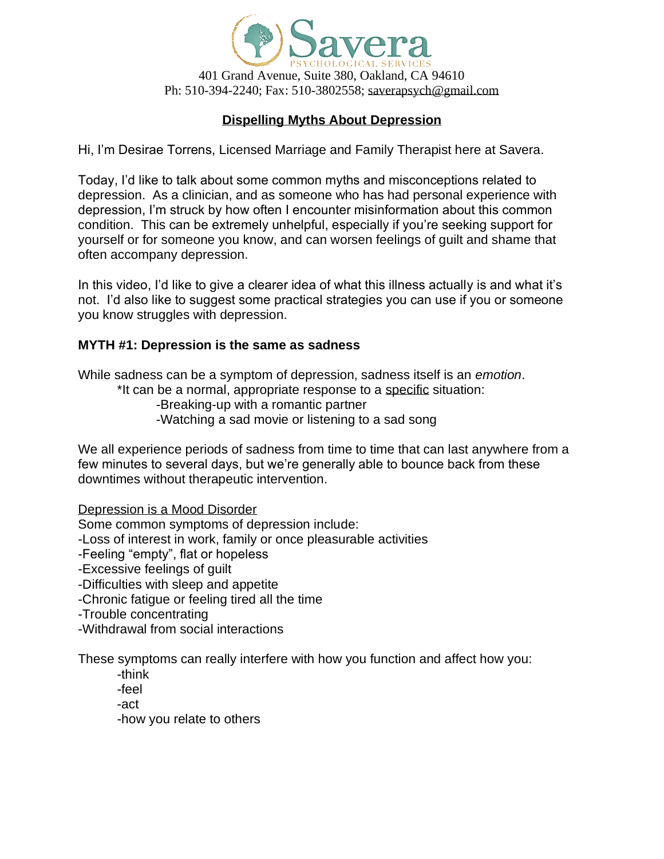

# **Dispelling Myths About Depression**

Hi, I'm Desirae Torrens, Licensed Marriage and Family Therapist here at Savera.

Today, I'd like to talk about some common myths and misconceptions related to depression. As a clinician, and as someone who has had personal experience with depression, I'm struck by how often I encounter misinformation about this common condition. This can be extremely unhelpful, especially if you're seeking support for yourself or for someone you know, and can worsen feelings of guilt and shame that often accompany depression.

In this video, I'd like to give a clearer idea of what this illness actually is and what it's not. I'd also like to suggest some practical strategies you can use if you or someone you know struggles with depression.

### **MYTH #1: Depression is the same as sadness**

While sadness can be a symptom of depression, sadness itself is an *emotion*.

\*It can be a normal, appropriate response to a specific situation:

-Breaking-up with a romantic partner

-Watching a sad movie or listening to a sad song

We all experience periods of sadness from time to time that can last anywhere from a few minutes to several days, but we're generally able to bounce back from these downtimes without therapeutic intervention.

Depression is a Mood Disorder

Some common symptoms of depression include:

-Loss of interest in work, family or once pleasurable activities

-Feeling "empty", flat or hopeless

-Excessive feelings of guilt

-Difficulties with sleep and appetite

-Chronic fatigue or feeling tired all the time

- -Trouble concentrating
- -Withdrawal from social interactions

These symptoms can really interfere with how you function and affect how you:

- -think
- -feel
- -act

-how you relate to others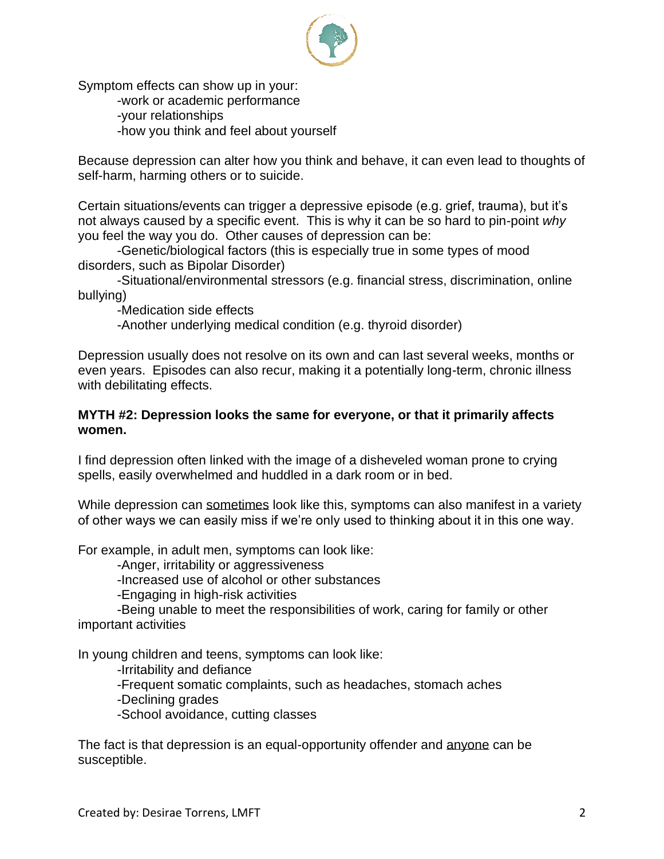

Symptom effects can show up in your:

-work or academic performance

-your relationships

-how you think and feel about yourself

Because depression can alter how you think and behave, it can even lead to thoughts of self-harm, harming others or to suicide.

Certain situations/events can trigger a depressive episode (e.g. grief, trauma), but it's not always caused by a specific event. This is why it can be so hard to pin-point *why*  you feel the way you do. Other causes of depression can be:

-Genetic/biological factors (this is especially true in some types of mood disorders, such as Bipolar Disorder)

-Situational/environmental stressors (e.g. financial stress, discrimination, online bullying)

-Medication side effects

-Another underlying medical condition (e.g. thyroid disorder)

Depression usually does not resolve on its own and can last several weeks, months or even years. Episodes can also recur, making it a potentially long-term, chronic illness with debilitating effects.

### **MYTH #2: Depression looks the same for everyone, or that it primarily affects women.**

I find depression often linked with the image of a disheveled woman prone to crying spells, easily overwhelmed and huddled in a dark room or in bed.

While depression can sometimes look like this, symptoms can also manifest in a variety of other ways we can easily miss if we're only used to thinking about it in this one way.

For example, in adult men, symptoms can look like:

-Anger, irritability or aggressiveness

-Increased use of alcohol or other substances

-Engaging in high-risk activities

-Being unable to meet the responsibilities of work, caring for family or other important activities

In young children and teens, symptoms can look like:

-Irritability and defiance

-Frequent somatic complaints, such as headaches, stomach aches

-Declining grades

-School avoidance, cutting classes

The fact is that depression is an equal-opportunity offender and anyone can be susceptible.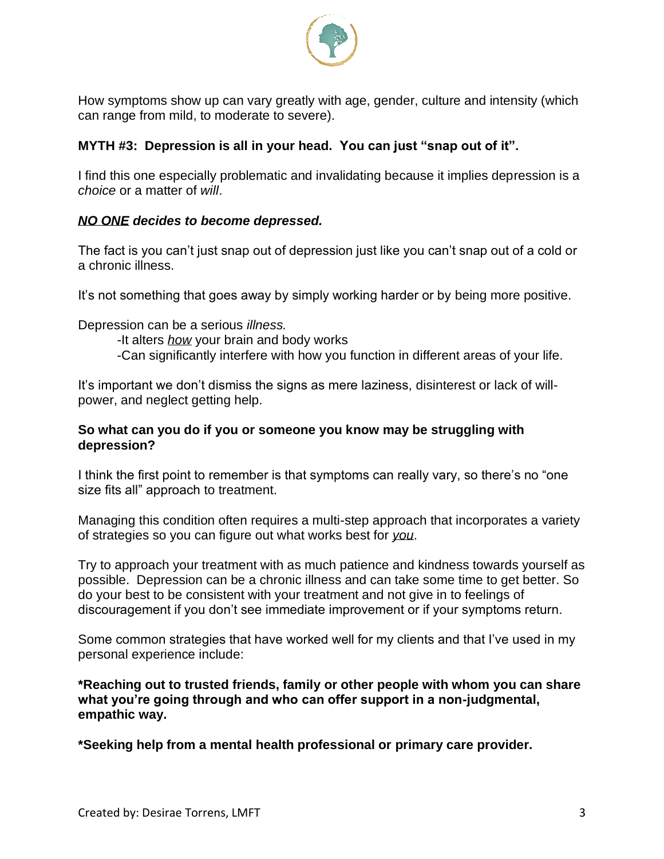

How symptoms show up can vary greatly with age, gender, culture and intensity (which can range from mild, to moderate to severe).

# **MYTH #3: Depression is all in your head. You can just "snap out of it".**

I find this one especially problematic and invalidating because it implies depression is a *choice* or a matter of *will*.

## *NO ONE decides to become depressed.*

The fact is you can't just snap out of depression just like you can't snap out of a cold or a chronic illness.

It's not something that goes away by simply working harder or by being more positive.

Depression can be a serious *illness.*

- -It alters *how* your brain and body works
- -Can significantly interfere with how you function in different areas of your life.

It's important we don't dismiss the signs as mere laziness, disinterest or lack of willpower, and neglect getting help.

### **So what can you do if you or someone you know may be struggling with depression?**

I think the first point to remember is that symptoms can really vary, so there's no "one size fits all" approach to treatment.

Managing this condition often requires a multi-step approach that incorporates a variety of strategies so you can figure out what works best for *you*.

Try to approach your treatment with as much patience and kindness towards yourself as possible. Depression can be a chronic illness and can take some time to get better. So do your best to be consistent with your treatment and not give in to feelings of discouragement if you don't see immediate improvement or if your symptoms return.

Some common strategies that have worked well for my clients and that I've used in my personal experience include:

**\*Reaching out to trusted friends, family or other people with whom you can share what you're going through and who can offer support in a non-judgmental, empathic way.**

**\*Seeking help from a mental health professional or primary care provider.**